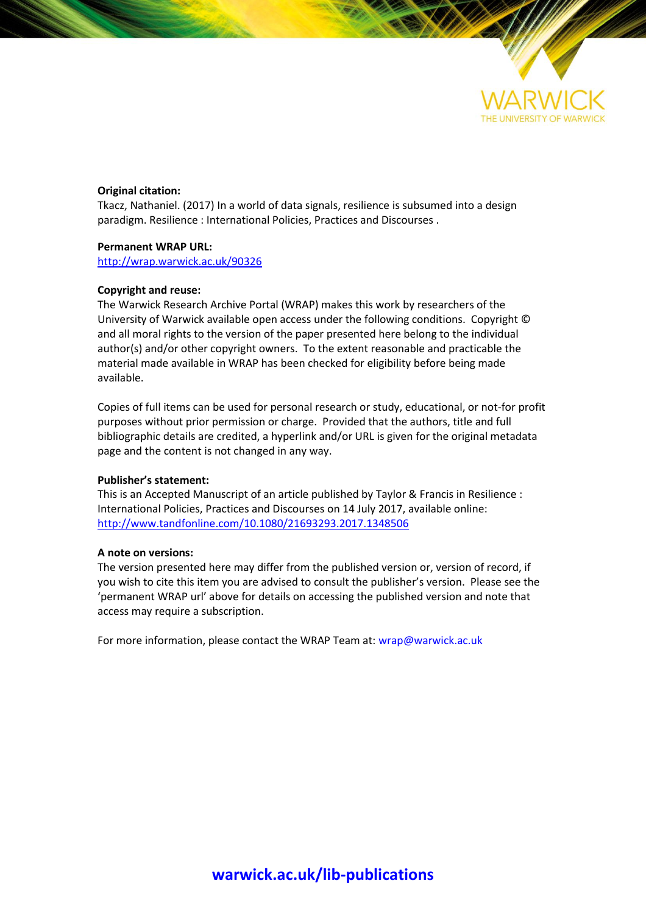

### **Original citation:**

Tkacz, Nathaniel. (2017) In a world of data signals, resilience is subsumed into a design paradigm. Resilience : International Policies, Practices and Discourses .

#### **Permanent WRAP URL:**

<http://wrap.warwick.ac.uk/90326>

#### **Copyright and reuse:**

The Warwick Research Archive Portal (WRAP) makes this work by researchers of the University of Warwick available open access under the following conditions. Copyright © and all moral rights to the version of the paper presented here belong to the individual author(s) and/or other copyright owners. To the extent reasonable and practicable the material made available in WRAP has been checked for eligibility before being made available.

Copies of full items can be used for personal research or study, educational, or not-for profit purposes without prior permission or charge. Provided that the authors, title and full bibliographic details are credited, a hyperlink and/or URL is given for the original metadata page and the content is not changed in any way.

#### **Publisher's statement:**

This is an Accepted Manuscript of an article published by Taylor & Francis in Resilience : International Policies, Practices and Discourses on 14 July 2017, available online: <http://www.tandfonline.com/10.1080/21693293.2017.1348506>

### **A note on versions:**

The version presented here may differ from the published version or, version of record, if you wish to cite this item you are advised to consult the publisher's version. Please see the 'permanent WRAP url' above for details on accessing the published version and note that access may require a subscription.

For more information, please contact the WRAP Team at[: wrap@warwick.ac.uk](mailto:wrap@warwick.ac.uk)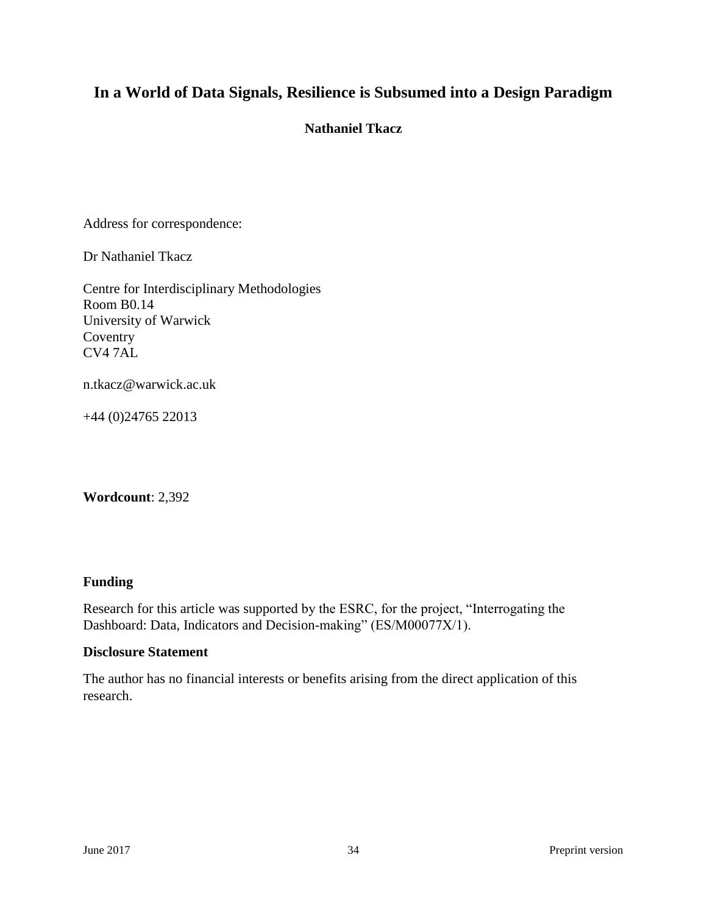# **In a World of Data Signals, Resilience is Subsumed into a Design Paradigm**

## **Nathaniel Tkacz**

Address for correspondence:

Dr Nathaniel Tkacz

Centre for Interdisciplinary Methodologies Room B0.14 University of Warwick Coventry CV4 7AL

n.tkacz@warwick.ac.uk

+44 (0)24765 22013

**Wordcount**: 2,392

### **Funding**

Research for this article was supported by the ESRC, for the project, "Interrogating the Dashboard: Data, Indicators and Decision-making" (ES/M00077X/1).

### **Disclosure Statement**

The author has no financial interests or benefits arising from the direct application of this research.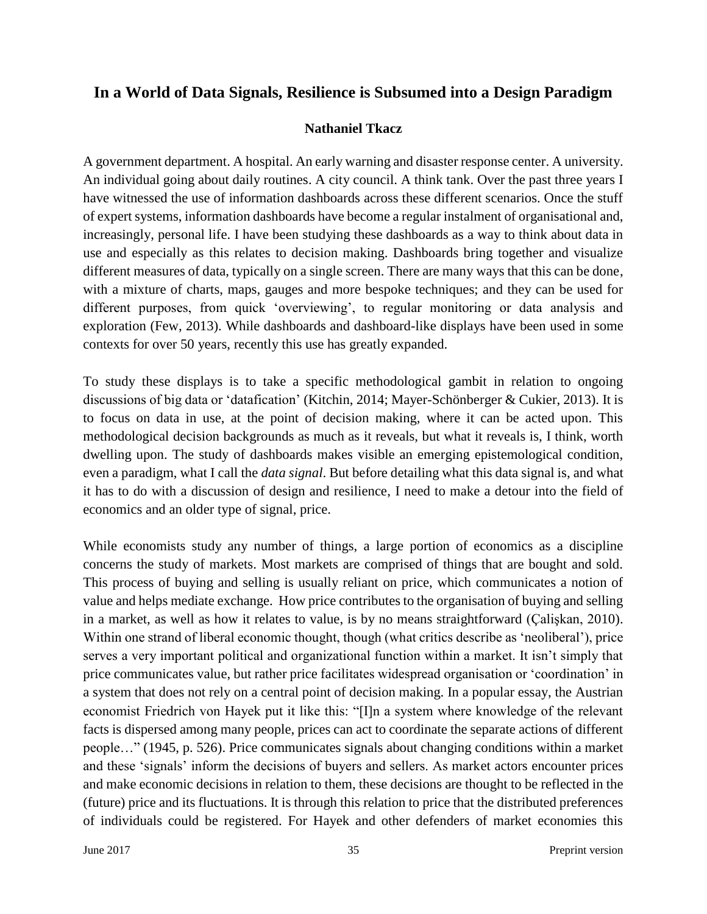# **In a World of Data Signals, Resilience is Subsumed into a Design Paradigm**

### **Nathaniel Tkacz**

A government department. A hospital. An early warning and disaster response center. A university. An individual going about daily routines. A city council. A think tank. Over the past three years I have witnessed the use of information dashboards across these different scenarios. Once the stuff of expert systems, information dashboards have become a regular instalment of organisational and, increasingly, personal life. I have been studying these dashboards as a way to think about data in use and especially as this relates to decision making. Dashboards bring together and visualize different measures of data, typically on a single screen. There are many ways that this can be done, with a mixture of charts, maps, gauges and more bespoke techniques; and they can be used for different purposes, from quick 'overviewing', to regular monitoring or data analysis and exploration (Few, 2013). While dashboards and dashboard-like displays have been used in some contexts for over 50 years, recently this use has greatly expanded.

To study these displays is to take a specific methodological gambit in relation to ongoing discussions of big data or 'datafication' (Kitchin, 2014; Mayer-Schönberger & Cukier, 2013). It is to focus on data in use, at the point of decision making, where it can be acted upon. This methodological decision backgrounds as much as it reveals, but what it reveals is, I think, worth dwelling upon. The study of dashboards makes visible an emerging epistemological condition, even a paradigm, what I call the *data signal*. But before detailing what this data signal is, and what it has to do with a discussion of design and resilience, I need to make a detour into the field of economics and an older type of signal, price.

While economists study any number of things, a large portion of economics as a discipline concerns the study of markets. Most markets are comprised of things that are bought and sold. This process of buying and selling is usually reliant on price, which communicates a notion of value and helps mediate exchange. How price contributes to the organisation of buying and selling in a market, as well as how it relates to value, is by no means straightforward (Çalişkan, 2010). Within one strand of liberal economic thought, though (what critics describe as 'neoliberal'), price serves a very important political and organizational function within a market. It isn't simply that price communicates value, but rather price facilitates widespread organisation or 'coordination' in a system that does not rely on a central point of decision making. In a popular essay, the Austrian economist Friedrich von Hayek put it like this: "[I]n a system where knowledge of the relevant facts is dispersed among many people, prices can act to coordinate the separate actions of different people…" (1945, p. 526). Price communicates signals about changing conditions within a market and these 'signals' inform the decisions of buyers and sellers. As market actors encounter prices and make economic decisions in relation to them, these decisions are thought to be reflected in the (future) price and its fluctuations. It is through this relation to price that the distributed preferences of individuals could be registered. For Hayek and other defenders of market economies this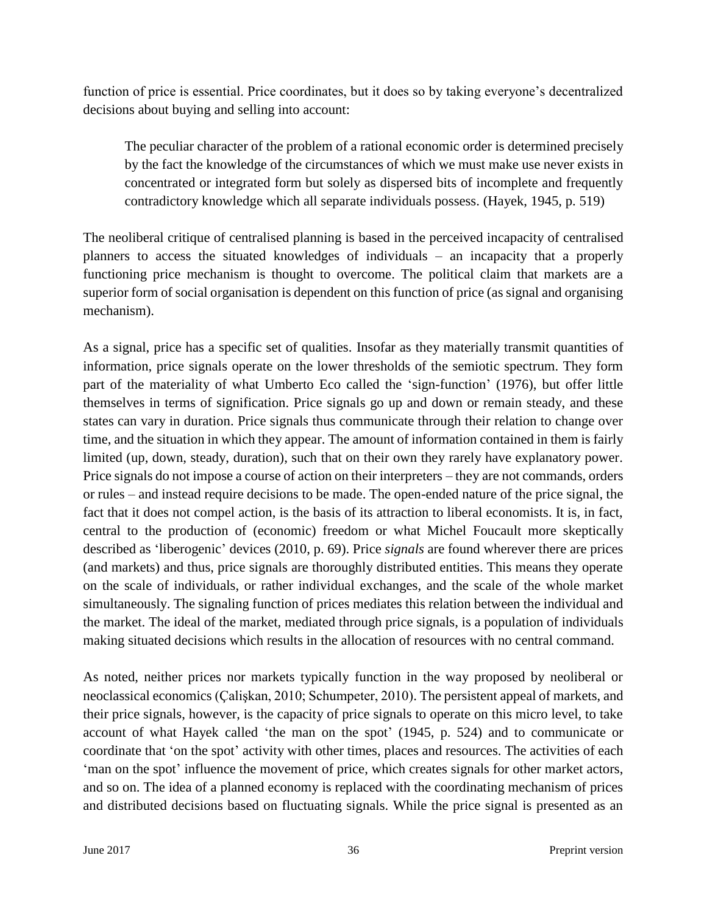function of price is essential. Price coordinates, but it does so by taking everyone's decentralized decisions about buying and selling into account:

The peculiar character of the problem of a rational economic order is determined precisely by the fact the knowledge of the circumstances of which we must make use never exists in concentrated or integrated form but solely as dispersed bits of incomplete and frequently contradictory knowledge which all separate individuals possess. (Hayek, 1945, p. 519)

The neoliberal critique of centralised planning is based in the perceived incapacity of centralised planners to access the situated knowledges of individuals – an incapacity that a properly functioning price mechanism is thought to overcome. The political claim that markets are a superior form of social organisation is dependent on this function of price (as signal and organising mechanism).

As a signal, price has a specific set of qualities. Insofar as they materially transmit quantities of information, price signals operate on the lower thresholds of the semiotic spectrum. They form part of the materiality of what Umberto Eco called the 'sign-function' (1976), but offer little themselves in terms of signification. Price signals go up and down or remain steady, and these states can vary in duration. Price signals thus communicate through their relation to change over time, and the situation in which they appear. The amount of information contained in them is fairly limited (up, down, steady, duration), such that on their own they rarely have explanatory power. Price signals do not impose a course of action on their interpreters – they are not commands, orders or rules – and instead require decisions to be made. The open-ended nature of the price signal, the fact that it does not compel action, is the basis of its attraction to liberal economists. It is, in fact, central to the production of (economic) freedom or what Michel Foucault more skeptically described as 'liberogenic' devices (2010, p. 69). Price *signals* are found wherever there are prices (and markets) and thus, price signals are thoroughly distributed entities. This means they operate on the scale of individuals, or rather individual exchanges, and the scale of the whole market simultaneously. The signaling function of prices mediates this relation between the individual and the market. The ideal of the market, mediated through price signals, is a population of individuals making situated decisions which results in the allocation of resources with no central command.

As noted, neither prices nor markets typically function in the way proposed by neoliberal or neoclassical economics (Çalişkan, 2010; Schumpeter, 2010). The persistent appeal of markets, and their price signals, however, is the capacity of price signals to operate on this micro level, to take account of what Hayek called 'the man on the spot' (1945, p. 524) and to communicate or coordinate that 'on the spot' activity with other times, places and resources. The activities of each 'man on the spot' influence the movement of price, which creates signals for other market actors, and so on. The idea of a planned economy is replaced with the coordinating mechanism of prices and distributed decisions based on fluctuating signals. While the price signal is presented as an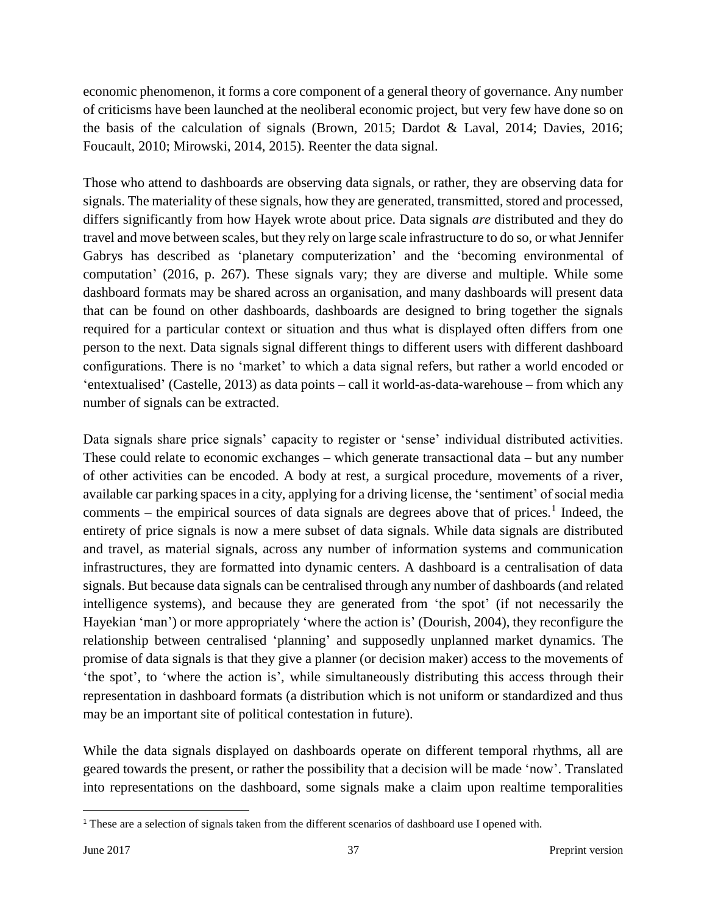economic phenomenon, it forms a core component of a general theory of governance. Any number of criticisms have been launched at the neoliberal economic project, but very few have done so on the basis of the calculation of signals (Brown, 2015; Dardot & Laval, 2014; Davies, 2016; Foucault, 2010; Mirowski, 2014, 2015). Reenter the data signal.

Those who attend to dashboards are observing data signals, or rather, they are observing data for signals. The materiality of these signals, how they are generated, transmitted, stored and processed, differs significantly from how Hayek wrote about price. Data signals *are* distributed and they do travel and move between scales, but they rely on large scale infrastructure to do so, or what Jennifer Gabrys has described as 'planetary computerization' and the 'becoming environmental of computation' (2016, p. 267). These signals vary; they are diverse and multiple. While some dashboard formats may be shared across an organisation, and many dashboards will present data that can be found on other dashboards, dashboards are designed to bring together the signals required for a particular context or situation and thus what is displayed often differs from one person to the next. Data signals signal different things to different users with different dashboard configurations. There is no 'market' to which a data signal refers, but rather a world encoded or 'entextualised' (Castelle, 2013) as data points – call it world-as-data-warehouse – from which any number of signals can be extracted.

Data signals share price signals' capacity to register or 'sense' individual distributed activities. These could relate to economic exchanges – which generate transactional data – but any number of other activities can be encoded. A body at rest, a surgical procedure, movements of a river, available car parking spaces in a city, applying for a driving license, the 'sentiment' of social media comments – the empirical sources of data signals are degrees above that of prices.<sup>1</sup> Indeed, the entirety of price signals is now a mere subset of data signals. While data signals are distributed and travel, as material signals, across any number of information systems and communication infrastructures, they are formatted into dynamic centers. A dashboard is a centralisation of data signals. But because data signals can be centralised through any number of dashboards (and related intelligence systems), and because they are generated from 'the spot' (if not necessarily the Hayekian 'man') or more appropriately 'where the action is' (Dourish, 2004), they reconfigure the relationship between centralised 'planning' and supposedly unplanned market dynamics. The promise of data signals is that they give a planner (or decision maker) access to the movements of 'the spot', to 'where the action is', while simultaneously distributing this access through their representation in dashboard formats (a distribution which is not uniform or standardized and thus may be an important site of political contestation in future).

While the data signals displayed on dashboards operate on different temporal rhythms, all are geared towards the present, or rather the possibility that a decision will be made 'now'. Translated into representations on the dashboard, some signals make a claim upon realtime temporalities

 $\overline{\phantom{a}}$ <sup>1</sup> These are a selection of signals taken from the different scenarios of dashboard use I opened with.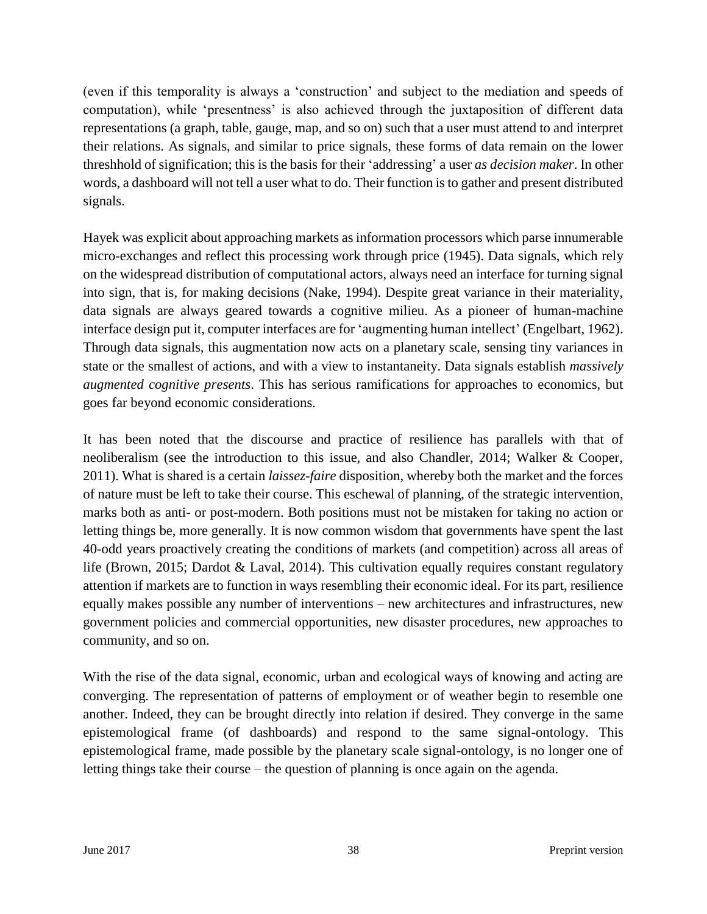(even if this temporality is always a 'construction' and subject to the mediation and speeds of computation), while 'presentness' is also achieved through the juxtaposition of different data representations (a graph, table, gauge, map, and so on) such that a user must attend to and interpret their relations. As signals, and similar to price signals, these forms of data remain on the lower threshhold of signification; this is the basis for their 'addressing' a user *as decision maker*. In other words, a dashboard will not tell a user what to do. Their function is to gather and present distributed signals.

Hayek was explicit about approaching markets as information processors which parse innumerable micro-exchanges and reflect this processing work through price (1945). Data signals, which rely on the widespread distribution of computational actors, always need an interface for turning signal into sign, that is, for making decisions (Nake, 1994). Despite great variance in their materiality, data signals are always geared towards a cognitive milieu. As a pioneer of human-machine interface design put it, computer interfaces are for 'augmenting human intellect' (Engelbart, 1962). Through data signals, this augmentation now acts on a planetary scale, sensing tiny variances in state or the smallest of actions, and with a view to instantaneity. Data signals establish *massively augmented cognitive presents*. This has serious ramifications for approaches to economics, but goes far beyond economic considerations.

It has been noted that the discourse and practice of resilience has parallels with that of neoliberalism (see the introduction to this issue, and also Chandler, 2014; Walker & Cooper, 2011). What is shared is a certain *laissez-faire* disposition, whereby both the market and the forces of nature must be left to take their course. This eschewal of planning, of the strategic intervention, marks both as anti- or post-modern. Both positions must not be mistaken for taking no action or letting things be, more generally. It is now common wisdom that governments have spent the last 40-odd years proactively creating the conditions of markets (and competition) across all areas of life (Brown, 2015; Dardot & Laval, 2014). This cultivation equally requires constant regulatory attention if markets are to function in ways resembling their economic ideal. For its part, resilience equally makes possible any number of interventions – new architectures and infrastructures, new government policies and commercial opportunities, new disaster procedures, new approaches to community, and so on.

With the rise of the data signal, economic, urban and ecological ways of knowing and acting are converging. The representation of patterns of employment or of weather begin to resemble one another. Indeed, they can be brought directly into relation if desired. They converge in the same epistemological frame (of dashboards) and respond to the same signal-ontology. This epistemological frame, made possible by the planetary scale signal-ontology, is no longer one of letting things take their course – the question of planning is once again on the agenda.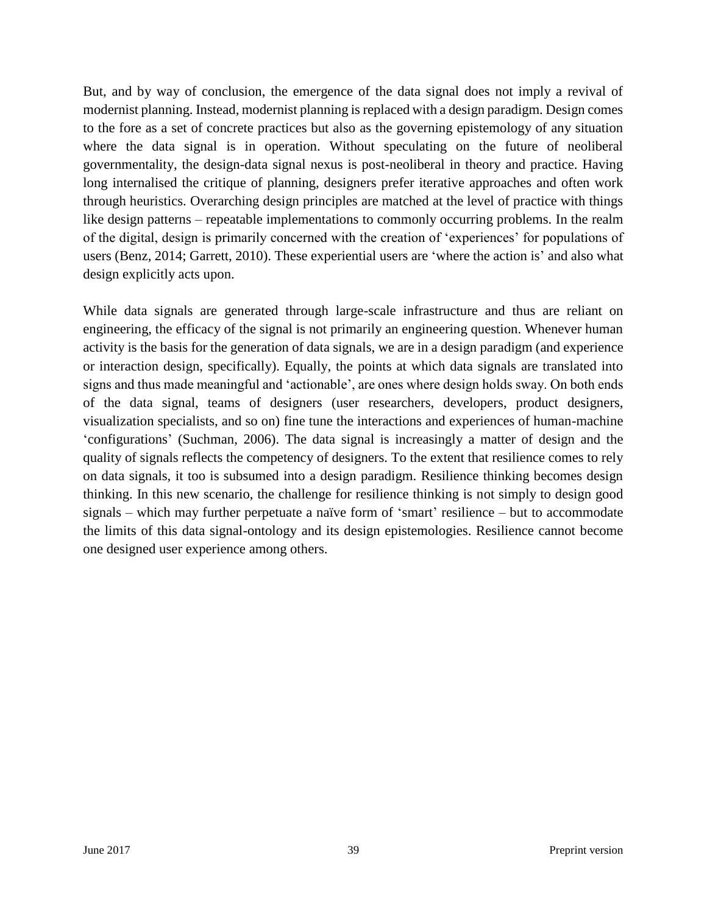But, and by way of conclusion, the emergence of the data signal does not imply a revival of modernist planning. Instead, modernist planning is replaced with a design paradigm. Design comes to the fore as a set of concrete practices but also as the governing epistemology of any situation where the data signal is in operation. Without speculating on the future of neoliberal governmentality, the design-data signal nexus is post-neoliberal in theory and practice. Having long internalised the critique of planning, designers prefer iterative approaches and often work through heuristics. Overarching design principles are matched at the level of practice with things like design patterns – repeatable implementations to commonly occurring problems. In the realm of the digital, design is primarily concerned with the creation of 'experiences' for populations of users (Benz, 2014; Garrett, 2010). These experiential users are 'where the action is' and also what design explicitly acts upon.

While data signals are generated through large-scale infrastructure and thus are reliant on engineering, the efficacy of the signal is not primarily an engineering question. Whenever human activity is the basis for the generation of data signals, we are in a design paradigm (and experience or interaction design, specifically). Equally, the points at which data signals are translated into signs and thus made meaningful and 'actionable', are ones where design holds sway. On both ends of the data signal, teams of designers (user researchers, developers, product designers, visualization specialists, and so on) fine tune the interactions and experiences of human-machine 'configurations' (Suchman, 2006). The data signal is increasingly a matter of design and the quality of signals reflects the competency of designers. To the extent that resilience comes to rely on data signals, it too is subsumed into a design paradigm. Resilience thinking becomes design thinking. In this new scenario, the challenge for resilience thinking is not simply to design good signals – which may further perpetuate a naïve form of 'smart' resilience – but to accommodate the limits of this data signal-ontology and its design epistemologies. Resilience cannot become one designed user experience among others.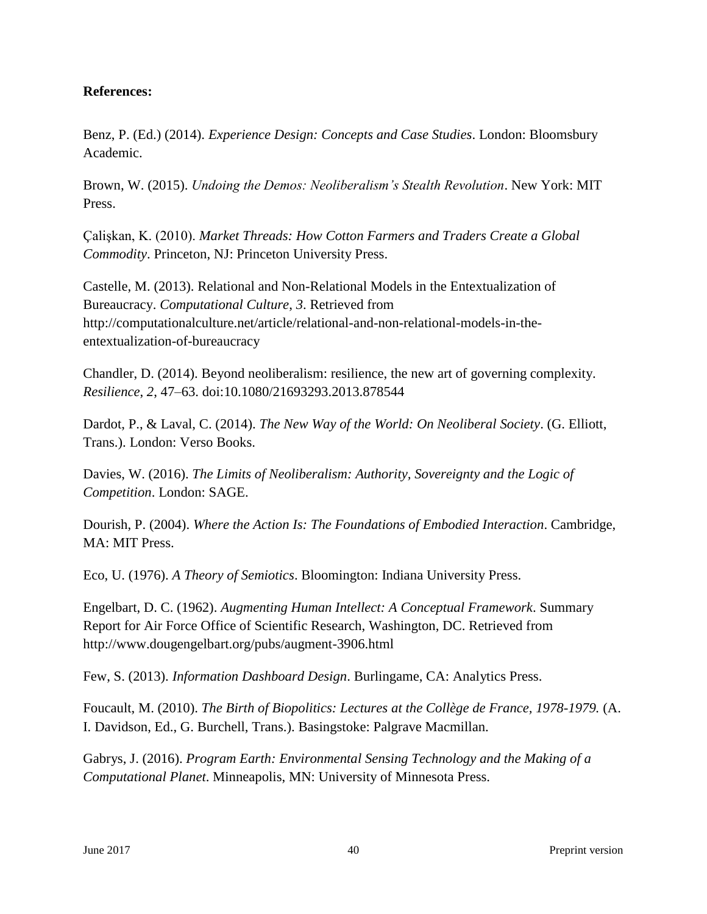### **References:**

Benz, P. (Ed.) (2014). *Experience Design: Concepts and Case Studies*. London: Bloomsbury Academic.

Brown, W. (2015). *Undoing the Demos: Neoliberalism's Stealth Revolution*. New York: MIT Press.

Çalişkan, K. (2010). *Market Threads: How Cotton Farmers and Traders Create a Global Commodity*. Princeton, NJ: Princeton University Press.

Castelle, M. (2013). Relational and Non-Relational Models in the Entextualization of Bureaucracy. *Computational Culture*, *3*. Retrieved from http://computationalculture.net/article/relational-and-non-relational-models-in-theentextualization-of-bureaucracy

Chandler, D. (2014). Beyond neoliberalism: resilience, the new art of governing complexity. *Resilience*, *2*, 47–63. doi:10.1080/21693293.2013.878544

Dardot, P., & Laval, C. (2014). *The New Way of the World: On Neoliberal Society*. (G. Elliott, Trans.). London: Verso Books.

Davies, W. (2016). *The Limits of Neoliberalism: Authority, Sovereignty and the Logic of Competition*. London: SAGE.

Dourish, P. (2004). *Where the Action Is: The Foundations of Embodied Interaction*. Cambridge, MA: MIT Press.

Eco, U. (1976). *A Theory of Semiotics*. Bloomington: Indiana University Press.

Engelbart, D. C. (1962). *Augmenting Human Intellect: A Conceptual Framework*. Summary Report for Air Force Office of Scientific Research, Washington, DC. Retrieved from http://www.dougengelbart.org/pubs/augment-3906.html

Few, S. (2013). *Information Dashboard Design*. Burlingame, CA: Analytics Press.

Foucault, M. (2010). *The Birth of Biopolitics: Lectures at the Collège de France, 1978-1979.* (A. I. Davidson, Ed., G. Burchell, Trans.). Basingstoke: Palgrave Macmillan.

Gabrys, J. (2016). *Program Earth: Environmental Sensing Technology and the Making of a Computational Planet*. Minneapolis, MN: University of Minnesota Press.